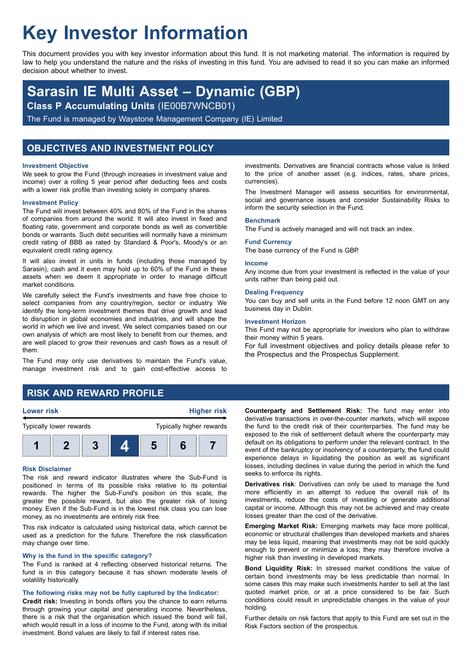# **Key Investor Information**

This document provides you with key investor information about this fund. It is not marketing material. The information is required by law to help you understand the nature and the risks of investing in this fund. You are advised to read it so you can make an informed decision about whether to invest.

# **Sarasin IE Multi Asset – Dynamic (GBP)**

**Class P Accumulating Units** (IE00B7WNCB01)

The Fund is managed by Waystone Management Company (IE) Limited

# **OBJECTIVES AND INVESTMENT POLICY**

#### **Investment Objective**

We seek to grow the Fund (through increases in investment value and income) over a rolling 5 year period after deducting fees and costs with a lower risk profile than investing solely in company shares.

#### **Investment Policy**

The Fund will invest between 40% and 80% of the Fund in the shares of companies from around the world. It will also invest in fixed and floating rate, government and corporate bonds as well as convertible bonds or warrants. Such debt securities will normally have a minimum credit rating of BBB as rated by Standard & Poor's, Moody's or an equivalent credit rating agency.

It will also invest in units in funds (including those managed by Sarasin), cash and it even may hold up to 60% of the Fund in these assets when we deem it appropriate in order to manage difficult market conditions.

We carefully select the Fund's investments and have free choice to select companies from any country/region, sector or industry. We identify the long-term investment themes that drive growth and lead to disruption in global economies and industries, and will shape the world in which we live and invest. We select companies based on our own analysis of which are most likely to benefit from our themes, and are well placed to grow their revenues and cash flows as a result of them.

The Fund may only use derivatives to maintain the Fund's value, manage investment risk and to gain cost-effective access to

investments. Derivatives are financial contracts whose value is linked to the price of another asset (e.g. indices, rates, share prices, currencies).

The Investment Manager will assess securities for environmental, social and governance issues and consider Sustainability Risks to inform the security selection in the Fund.

#### **Benchmark**

The Fund is actively managed and will not track an index.

#### **Fund Currency**

The base currency of the Fund is GBP.

#### **Income**

Any income due from your investment is reflected in the value of your units rather than being paid out.

#### **Dealing Frequency**

You can buy and sell units in the Fund before 12 noon GMT on any business day in Dublin.

#### **Investment Horizon**

This Fund may not be appropriate for investors who plan to withdraw their money within 5 years.

For full investment objectives and policy details please refer to the Prospectus and the Prospectus Supplement.

# **RISK AND REWARD PROFILE**

### **Lower risk Higher risk**



#### **Risk Disclaimer**

The risk and reward indicator illustrates where the Sub-Fund is positioned in terms of its possible risks relative to its potential rewards. The higher the Sub-Fund's position on this scale, the greater the possible reward, but also the greater risk of losing money. Even if the Sub-Fund is in the lowest risk class you can lose money, as no investments are entirely risk free.

This risk indicator is calculated using historical data, which cannot be used as a prediction for the future. Therefore the risk classification may change over time.

#### **Why is the fund in the specific category?**

The Fund is ranked at 4 reflecting observed historical returns. The fund is in this category because it has shown moderate levels of volatility historically.

#### **The following risks may not be fully captured by the Indicator:**

**Credit risk:** Investing in bonds offers you the chance to earn returns through growing your capital and generating income. Nevertheless, there is a risk that the organisation which issued the bond will fail, which would result in a loss of income to the Fund, along with its initial investment. Bond values are likely to fall if interest rates rise.

**Counterparty and Settlement Risk:** The fund may enter into derivative transactions in over-the-counter markets, which will expose the fund to the credit risk of their counterparties. The fund may be exposed to the risk of settlement default where the counterparty may default on its obligations to perform under the relevant contract. In the event of the bankruptcy or insolvency of a counterparty, the fund could experience delays in liquidating the position as well as significant losses, including declines in value during the period in which the fund seeks to enforce its rights.

**Derivatives risk**: Derivatives can only be used to manage the fund more efficiently in an attempt to reduce the overall risk of its investments, reduce the costs of investing or generate additional capital or income. Although this may not be achieved and may create losses greater than the cost of the derivative.

**Emerging Market Risk:** Emerging markets may face more political, economic or structural challenges than developed markets and shares may be less liquid, meaning that investments may not be sold quickly enough to prevent or minimize a loss; they may therefore involve a higher risk than investing in developed markets.

**Bond Liquidity Risk:** In stressed market conditions the value of certain bond investments may be less predictable than normal. In some cases this may make such investments harder to sell at the last quoted market price, or at a price considered to be fair. Such conditions could result in unpredictable changes in the value of your holding.

Further details on risk factors that apply to this Fund are set out in the Risk Factors section of the prospectus.